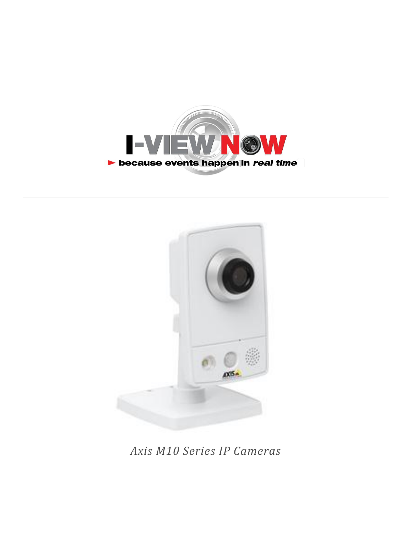



*Axis M10 Series IP Cameras*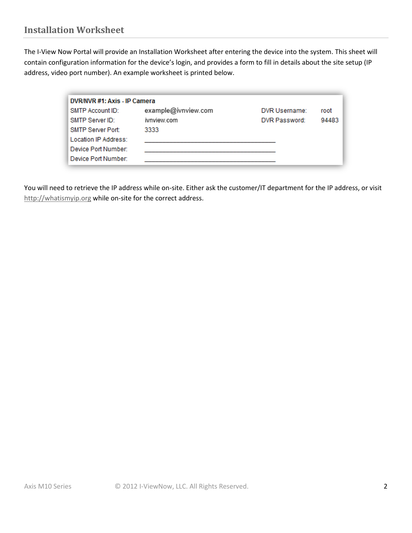The I-View Now Portal will provide an Installation Worksheet after entering the device into the system. This sheet will contain configuration information for the device's login, and provides a form to fill in details about the site setup (IP address, video port number). An example worksheet is printed below.

| DVR/NVR #1: Axis - IP Camera |                     |               |       |  |
|------------------------------|---------------------|---------------|-------|--|
| SMTP Account ID:             | example@ivnview.com | DVR Username: | root  |  |
| SMTP Server ID:              | ivnview.com         | DVR Password: | 94483 |  |
| <b>SMTP Server Port:</b>     | 3333                |               |       |  |
| Location IP Address:         |                     |               |       |  |
| Device Port Number:          |                     |               |       |  |
| Device Port Number:          |                     |               |       |  |

You will need to retrieve the IP address while on-site. Either ask the customer/IT department for the IP address, or visit [http://whatismyip.org](http://whatismyip.org/) while on-site for the correct address.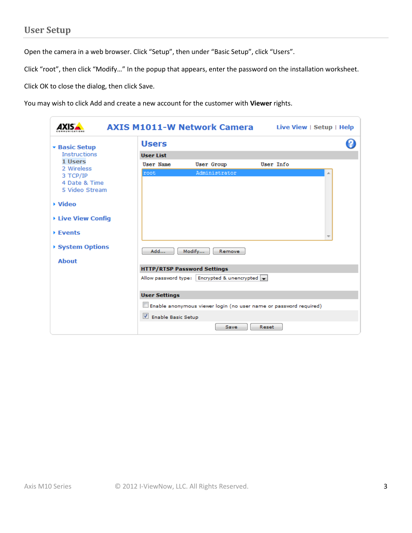Open the camera in a web browser. Click "Setup", then under "Basic Setup", click "Users".

Click "root", then click "Modify…" In the popup that appears, enter the password on the installation worksheet.

Click OK to close the dialog, then click Save.

You may wish to click Add and create a new account for the customer with **Viewer** rights.

| <b>AXIS M1011-W Network Camera</b><br>Live View   Setup   Help |                      |                                                                   |           |  |  |
|----------------------------------------------------------------|----------------------|-------------------------------------------------------------------|-----------|--|--|
| <b>* Basic Setup</b>                                           | <b>Users</b>         |                                                                   |           |  |  |
| <b>Instructions</b>                                            | <b>User List</b>     |                                                                   |           |  |  |
| 1 Users<br>2 Wireless                                          | <b>User Name</b>     | <b>User Group</b>                                                 | User Info |  |  |
| 3 TCP/IP                                                       | root                 | Administrator                                                     |           |  |  |
| 4 Date & Time<br>5 Video Stream                                |                      |                                                                   |           |  |  |
| ▶ Video                                                        |                      |                                                                   |           |  |  |
| ▶ Live View Config                                             |                      |                                                                   |           |  |  |
| ▶ Events                                                       |                      |                                                                   |           |  |  |
| ▶ System Options                                               | Add                  | Modify<br>Remove                                                  |           |  |  |
| <b>About</b>                                                   |                      |                                                                   |           |  |  |
|                                                                |                      | <b>HTTP/RTSP Password Settings</b>                                |           |  |  |
|                                                                |                      | Allow password type:   Encrypted & unencrypted                    |           |  |  |
|                                                                | <b>User Settings</b> |                                                                   |           |  |  |
|                                                                |                      | Enable anonymous viewer login (no user name or password required) |           |  |  |
|                                                                | Enable Basic Setup   |                                                                   |           |  |  |
|                                                                |                      | Save                                                              | Reset     |  |  |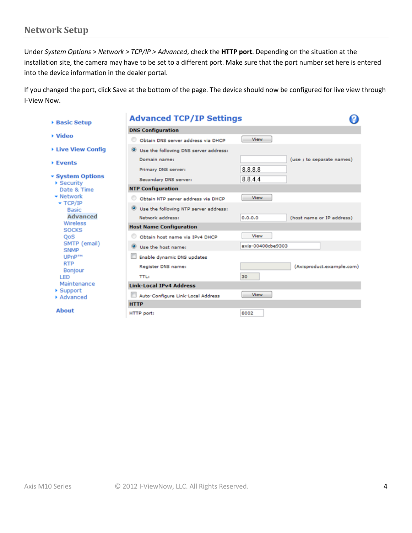### **Network Setup**

Under *System Options > Network > TCP/IP > Advanced*, check the **HTTP port**. Depending on the situation at the installation site, the camera may have to be set to a different port. Make sure that the port number set here is entered into the device information in the dealer portal.

If you changed the port, click Save at the bottom of the page. The device should now be configured for live view through I-View Now.

| <b>Basic Setup</b>                              | <b>Advanced TCP/IP Settings</b>                    |                                      |
|-------------------------------------------------|----------------------------------------------------|--------------------------------------|
|                                                 | <b>DNS Configuration</b>                           |                                      |
| ▶ Video                                         | Obtain DNS server address via DHCP                 | <b>View</b>                          |
| <b>Eive View Config</b>                         | Use the following DNS server address:              |                                      |
| ▶ Events                                        | Domain name:                                       | (use ; to separate names)            |
|                                                 | Primary DNS server:                                | 8.8.8.8                              |
| ▼ System Options<br>▶ Security                  | Secondary DNS server:                              | 8844                                 |
| Date & Time                                     | <b>NTP Configuration</b>                           |                                      |
| $\blacktriangleright$ Network<br>$\star$ TCP/IP | Obtain NTP server address via DHCP                 | <b>View</b>                          |
| <b>Basic</b>                                    | Use the following NTP server address:<br>$\bullet$ |                                      |
| <b>Advanced</b>                                 | Network address:                                   | (host name or IP address)<br>0.0.0.0 |
| Wireless<br><b>SOCKS</b>                        | <b>Host Name Configuration</b>                     |                                      |
| QoS                                             | Obtain host name via IPv4 DHCP                     | View                                 |
| SMTP (email)<br><b>SNMP</b>                     | $\bullet$<br>Use the host name:                    | axis-00408cbe9303                    |
| UPnP <sub>TM</sub>                              | Enable dynamic DNS updates                         |                                      |
| <b>RTP</b><br><b>Bonjour</b>                    | Register DNS name:                                 | (Axisproduct.example.com)            |
| LED                                             | <b>TTL:</b>                                        | 30                                   |
| Maintenance                                     | <b>Link-Local IPv4 Address</b>                     |                                      |
| ▶ Support<br>Advanced                           | Auto-Configure Link-Local Address                  | <b>View</b>                          |
|                                                 | <b>HTTP</b>                                        |                                      |
| <b>About</b>                                    | HTTP port:                                         | 8002                                 |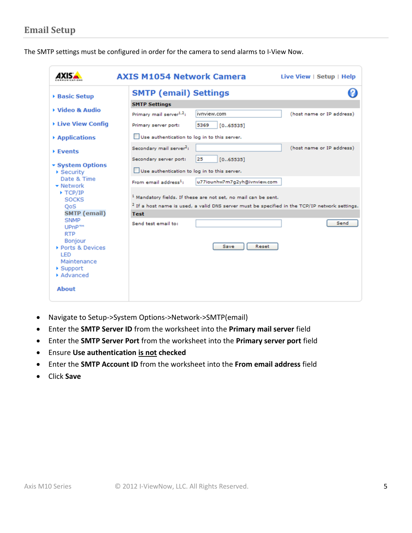The SMTP settings must be configured in order for the camera to send alarms to I-View Now.

|                                                                                                                                                                                                                                                                                                                                                                                                                 | <b>AXIS M1054 Network Camera</b><br>Live View $\vert$ Setup $\vert$ Help                                                                                                                                                                                                                                                                                                                                                                                                                                                                                                                                                                                                                            |
|-----------------------------------------------------------------------------------------------------------------------------------------------------------------------------------------------------------------------------------------------------------------------------------------------------------------------------------------------------------------------------------------------------------------|-----------------------------------------------------------------------------------------------------------------------------------------------------------------------------------------------------------------------------------------------------------------------------------------------------------------------------------------------------------------------------------------------------------------------------------------------------------------------------------------------------------------------------------------------------------------------------------------------------------------------------------------------------------------------------------------------------|
| ▶ Basic Setup                                                                                                                                                                                                                                                                                                                                                                                                   | <b>SMTP (email) Settings</b>                                                                                                                                                                                                                                                                                                                                                                                                                                                                                                                                                                                                                                                                        |
| ▶ Video & Audio<br>▶ Live View Config<br>▶ Applications<br>▶ Events<br>▼ System Options<br>$\triangleright$ Security<br>Date & Time<br>$\blacktriangleright$ Network<br>$\blacktriangleright$ TCP/IP<br><b>SOCKS</b><br>QoS<br><b>SMTP</b> (email)<br><b>SNMP</b><br>UPnP <sub>TM</sub><br><b>RTP</b><br><b>Bonjour</b><br>▶ Ports & Devices<br>LED<br>Maintenance<br>$\blacktriangleright$ Support<br>Advanced | <b>SMTP Settings</b><br>ivnview.com<br>Primary mail server <sup>1,2</sup> :<br>(host name or IP address)<br>Primary server port:<br>5369<br>[065535]<br>Use authentication to log in to this server.<br>(host name or IP address)<br>Secondary mail server <sup>2</sup> :<br>Secondary server port:<br>25<br>[065535]<br>Use authentication to log in to this server.<br>From email address <sup>1</sup> :<br>u77iounhw7m7q2yh@ivnview.com<br><sup>1</sup> Mandatory fields. If these are not set, no mail can be sent.<br><sup>2</sup> If a host name is used, a valid DNS server must be specified in the TCP/IP network settings.<br><b>Test</b><br>Send<br>Send test email to:<br>Reset<br>Save |
| <b>About</b>                                                                                                                                                                                                                                                                                                                                                                                                    |                                                                                                                                                                                                                                                                                                                                                                                                                                                                                                                                                                                                                                                                                                     |

- Navigate to Setup->System Options->Network->SMTP(email)
- Enter the **SMTP Server ID** from the worksheet into the **Primary mail server** field
- Enter the **SMTP Server Port** from the worksheet into the **Primary server port** field
- Ensure **Use authentication is not checked**
- Enter the **SMTP Account ID** from the worksheet into the **From email address** field
- Click **Save**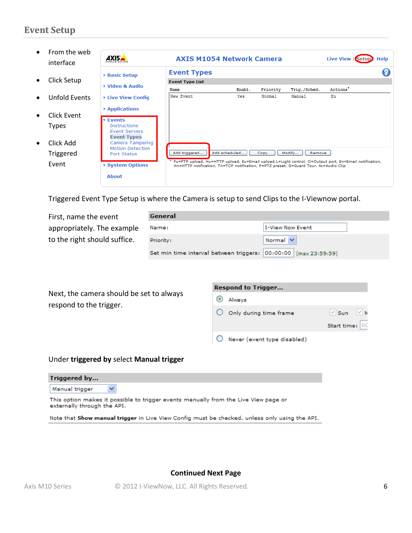# **Event Setup**

| From the web<br>interface                                      | <b>AXISA</b><br><b>AXIS M1054 Network Camera</b><br>Live View   Setur<br>Help                                                                                                                                 |                                                                                                                                                                                                                |               |          |                  |                      |  |
|----------------------------------------------------------------|---------------------------------------------------------------------------------------------------------------------------------------------------------------------------------------------------------------|----------------------------------------------------------------------------------------------------------------------------------------------------------------------------------------------------------------|---------------|----------|------------------|----------------------|--|
| Click Setup                                                    | ▶ Basic Setup                                                                                                                                                                                                 | <b>Event Types</b><br><b>Event Type List</b>                                                                                                                                                                   |               |          |                  |                      |  |
|                                                                | ▶ Video & Audio                                                                                                                                                                                               | Name                                                                                                                                                                                                           | Enabl.        | Priority | Trig./Sched.     | Actions <sup>*</sup> |  |
| Unfold Events                                                  | ▶ Live View Config                                                                                                                                                                                            | New Event                                                                                                                                                                                                      | Үез           | Normal   | Manual           | Eu                   |  |
| Click Event<br><b>Types</b><br>Click Add<br>Triggered<br>Event | ▶ Applications<br><b>Events</b><br><b>Instructions</b><br><b>Event Servers</b><br><b>Event Types</b><br><b>Camera Tampering</b><br><b>Motion Detection</b><br>Port Status<br>▶ System Options<br><b>About</b> | Add triggered<br>Fu=FTP upload, Hu=HTTP upload, Eu=Email upload,L=Light control, O=Output port, En=Email notification,<br>Hn=HTTP notification, Tn=TCP notification, P=PTZ preset, G=Guard Tour, Ac=Audio Clip | Add scheduled | Copy     | Modify<br>Remove |                      |  |

Triggered Event Type Setup is where the Camera is setup to send Clips to the I-Viewnow portal.

First, name the event appropriately. The example to the right should suffice.

| General                                                            |                  |
|--------------------------------------------------------------------|------------------|
| Name:                                                              | I-View Now Event |
| Priority:                                                          | Normal Y         |
| Set min time interval between triggers:  00:00:00   (max 23:59:59) |                  |

Next, the camera should be set to always respond to the trigger.

| <b>Respond to Trigger</b>   |                     |  |  |  |
|-----------------------------|---------------------|--|--|--|
| Always                      |                     |  |  |  |
| Only during time frame      | $\vee$ Sun $\vee$ N |  |  |  |
|                             | Start time: 00      |  |  |  |
| Never (event type disabled) |                     |  |  |  |

#### Under **triggered by** select **Manual trigger**

| Triggered by                                                                                                       |
|--------------------------------------------------------------------------------------------------------------------|
| Manual trigger                                                                                                     |
| This option makes it possible to trigger events manually from the Live View page or<br>externally through the API. |
| Note that Show manual trigger in Live View Config must be checked, unless only using the API.                      |

#### **Continued Next Page**